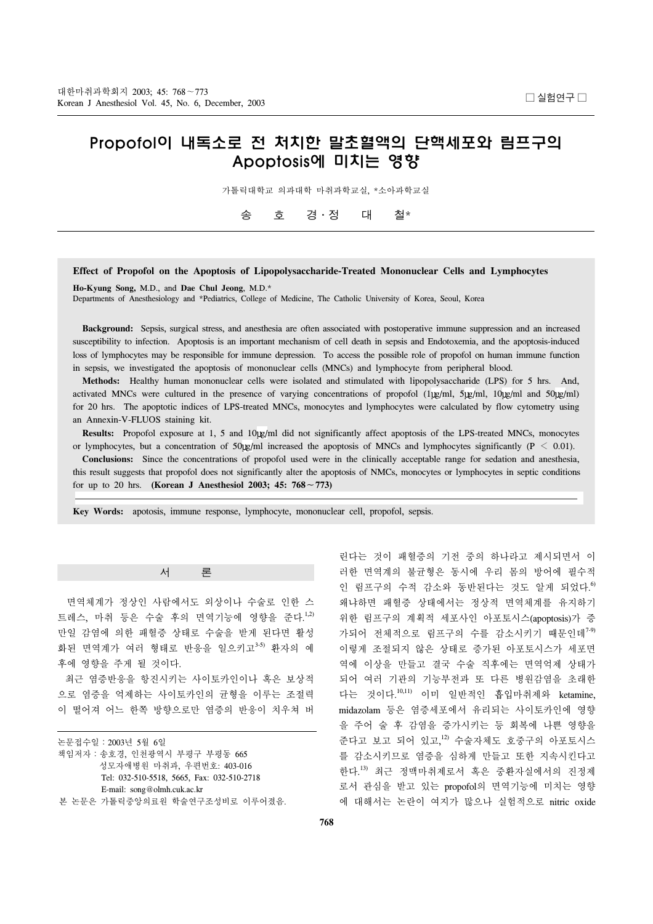# Propofol이 내독소로 전 처치한 말초혈액의 단핵세포와 림프구의 Apoptosis에 미치는 영향

가톨릭대학교 의과대학 마취과학교실, \*소아과학교실

송 호 경․정 대 철\*

## **Effect of Propofol on the Apoptosis of Lipopolysaccharide-Treated Mononuclear Cells and Lymphocytes**

**Ho-Kyung Song,** M.D., and **Dae Chul Jeong**, M.D.\* Departments of Anesthesiology and \*Pediatrics, College of Medicine, The Catholic University of Korea, Seoul, Korea

 **Background:** Sepsis, surgical stress, and anesthesia are often associated with postoperative immune suppression and an increased susceptibility to infection. Apoptosis is an important mechanism of cell death in sepsis and Endotoxemia, and the apoptosis-induced loss of lymphocytes may be responsible for immune depression. To access the possible role of propofol on human immune function in sepsis, we investigated the apoptosis of mononuclear cells (MNCs) and lymphocyte from peripheral blood.

 **Methods:** Healthy human mononuclear cells were isolated and stimulated with lipopolysaccharide (LPS) for 5 hrs. And, activated MNCs were cultured in the presence of varying concentrations of propofol (1 $\mu$ g/ml, 5 $\mu$ g/ml, 10 $\mu$ g/ml and 50 $\mu$ g/ml) for 20 hrs. The apoptotic indices of LPS-treated MNCs, monocytes and lymphocytes were calculated by flow cytometry using an Annexin-V-FLUOS staining kit.

Results: Propofol exposure at 1, 5 and 10 µg/ml did not significantly affect apoptosis of the LPS-treated MNCs, monocytes or lymphocytes, but a concentration of 50 $\mu$ ml increased the apoptosis of MNCs and lymphocytes significantly (P < 0.01).

 **Conclusions:** Since the concentrations of propofol used were in the clinically acceptable range for sedation and anesthesia, this result suggests that propofol does not significantly alter the apoptosis of NMCs, monocytes or lymphocytes in septic conditions for up to 20 hrs. **(Korean J Anesthesiol 2003; 45: 768**∼**773)**

ꠏꠏꠏꠏꠏꠏꠏꠏꠏꠏꠏꠏꠏꠏꠏꠏꠏꠏꠏꠏꠏꠏꠏꠏꠏꠏꠏꠏꠏꠏꠏꠏꠏꠏꠏꠏꠏꠏꠏꠏꠏꠏꠏꠏꠏꠏꠏꠏꠏꠏꠏꠏꠏꠏꠏꠏꠏꠏꠏꠏꠏꠏꠏꠏꠏꠏꠏꠏꠏꠏꠏꠏꠏꠏꠏꠏꠏꠏꠏꠏꠏꠏꠏꠏꠏꠏꠏꠏꠏꠏꠏꠏꠏꠏꠏꠏꠏ

**Key Words:** apotosis, immune response, lymphocyte, mononuclear cell, propofol, sepsis.

서 론

 면역체계가 정상인 사람에서도 외상이나 수술로 인한 스 트레스, 마취 등은 수술 후의 면역기능에 영향을 준다.<sup>1,2)</sup> 만일 감염에 의한 패혈증 상태로 수술을 받게 된다면 활성 화된 면역계가 여러 형태로 반응을 일으키고3-5) 환자의 예 후에 영향을 주게 될 것이다.

최근 염증반응을 항진시키는 사이토카인이나 혹은 보상적 으로 염증을 억제하는 사이토카인의 균형을 이루는 조절력 이 떨어져 어느 한쪽 방향으로만 염증의 반응이 치우쳐 버

| 논문접수일 : 2003년 5월 6일                        |  |
|--------------------------------------------|--|
| 책임저자 : 송호경, 인천광역시 부평구 부평동 665              |  |
| 성모자애병원 마취과, 우편번호: 403-016                  |  |
| Tel: 032-510-5518, 5665, Fax: 032-510-2718 |  |
| E-mail: song@olmh.cuk.ac.kr                |  |
| 본 논문은 가톨릭중앙의료워 학술여구조성비로 이루어졌음.             |  |

린다는 것이 패혈증의 기전 중의 하나라고 제시되면서 이 러한 면역계의 불균형은 동시에 우리 몸의 방어에 필수적 인 림프구의 수적 감소와 동반된다는 것도 알게 되었다.<sup>6)</sup> 왜냐하면 패혈증 상태에서는 정상적 면역체계를 유지하기 위한 림프구의 계획적 세포사인 아포토시스(apoptosis)가 증 가되어 전체적으로 림프구의 수를 감소시키기 때문이데<sup>7-9)</sup> 이렇게 조절되지 않은 상태로 증가된 아포토시스가 세포면 역에 이상을 만들고 결국 수술 직후에는 면역억제 상태가 되어 여러 기관의 기능부전과 또 다른 병원감염을 초래한 다는 것이다. 10,11) 이미 일반적인 흡입마취제와 ketamine, midazolam 등은 염증세포에서 유리되는 사이토카인에 영향 을 주어 술 후 감염을 증가시키는 등 회복에 나쁜 영향을 준다고 보고 되어 있고,<sup>12)</sup> 수술자체도 호중구의 아포토시스 를 감소시키므로 염증을 심하게 만들고 또한 지속시킨다고 한다.<sup>13)</sup> 최근 정맥마취제로서 혹은 중환자실에서의 진정제 로서 관심을 받고 있는 propofol의 면역기능에 미치는 영향 에 대해서는 논란이 여지가 많으나 실험적으로 nitric oxide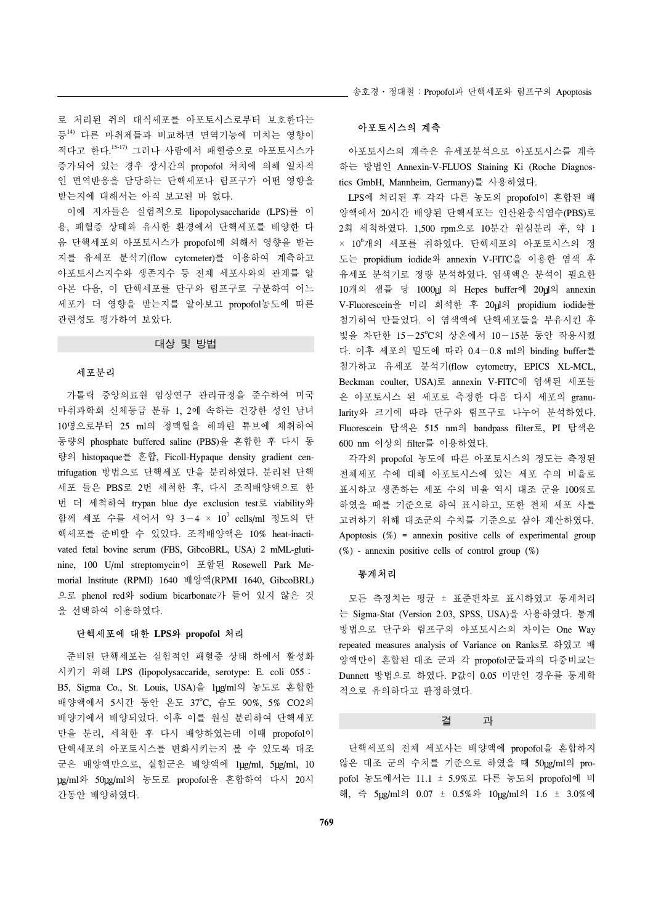로 처리된 쥐의 대식세포를 아포토시스로부터 보호한다는 등14) 다른 마취제들과 비교하면 면역기능에 미치는 영향이 적다고 한다. 15-17) 그러나 사람에서 패혈증으로 아포토시스가 증가되어 있는 경우 장시간의 propofol 처치에 의해 일차적 인 면역반응을 담당하는 단핵세포나 림프구가 어떤 영향을 받는지에 대해서는 아직 보고된 바 없다.

 이에 저자들은 실험적으로 lipopolysaccharide (LPS)를 이 용, 패혈증 상태와 유사한 환경에서 단핵세포를 배양한 다 음 단핵세포의 아포토시스가 propofol에 의해서 영향을 받는 지를 유세포 분석기(flow cytometer)를 이용하여 계측하고 아포토시스지수와 생존지수 등 전체 세포사와의 관계를 알 아본 다음, 이 단핵세포를 단구와 림프구로 구분하여 어느 세포가 더 영향을 받는지를 알아보고 propofol농도에 따른 관련성도 평가하여 보았다.

### 대상 및 방법

#### 세포분리

 가톨릭 중앙의료원 임상연구 관리규정을 준수하여 미국 마취과학회 신체등급 분류 1, 2에 속하는 건강한 성인 남녀 10명으로부터 25 ml의 정맥혈을 헤파린 튜브에 채취하여 동량의 phosphate buffered saline (PBS)을 혼합한 후 다시 동 량의 histopaque를 혼합, Ficoll-Hypaque density gradient centrifugation 방법으로 단핵세포 만을 분리하였다. 분리된 단핵 세포 들은 PBS로 2번 세척한 후, 다시 조직배양액으로 한 번 더 세척하여 trypan blue dye exclusion test로 viability와 함께 세포 수를 세어서 약 3-4 × 10<sup>7</sup> cells/ml 정도의 단 핵세포를 준비할 수 있었다. 조직배양액은 10% heat-inactivated fetal bovine serum (FBS, GibcoBRL, USA) 2 mML-glutinine, 100 U/ml streptomycin이 포함된 Rosewell Park Memorial Institute (RPMI) 1640 배양액(RPMI 1640, GibcoBRL) 으로 phenol red와 sodium bicarbonate가 들어 있지 않은 것 을 선택하여 이용하였다.

#### 단핵세포에 대한 **LPS**와 **propofol** 처리

 준비된 단핵세포는 실험적인 패혈증 상태 하에서 활성화 시키기 위해 LPS (lipopolysaccaride, serotype: E. coli 055: B5, Sigma Co., St. Louis, USA)을 1µg/ml의 농도로 혼합한 배양액에서 5시간 동안 온도 37°C, 습도 90%, 5% CO2의 배양기에서 배양되었다. 이후 이를 원심 분리하여 단핵세포 만을 분리, 세척한 후 다시 배양하였는데 이때 propofol이 단핵세포의 아포토시스를 변화시키는지 볼 수 있도록 대조 군은 배양액만으로, 실험군은 배양액에 1ug/ml, 5ug/ml, 10 g/ml와 50 g/ml의 농도로 propofol을 혼합하여 다시 20시 간동안 배양하였다.

### 아포토시스의 계측

아포토시스의 계측은 유세포분석으로 아포토시스를 계측 하는 방법인 Annexin-V-FLUOS Staining Ki (Roche Diagnostics GmbH, Mannheim, Germany)를 사용하였다.

 LPS에 처리된 후 각각 다른 농도의 propofol이 혼합된 배 양액에서 20시간 배양된 단핵세포는 인산완충식염수(PBS)로 2회 세척하였다. 1,500 rpm으로 10분간 원심분리 후, 약 1 × 10<sup>6</sup> 개의 세포를 취하였다. 단핵세포의 아포토시스의 정 도는 propidium iodide와 annexin V-FITC을 이용한 염색 후 유세포 분석기로 정량 분석하였다. 염색액은 분석이 필요한 10개의 샘플 당 1000ul 의 Hepes buffer에 20ul의 annexin V-Fluorescein을 미리 희석한 후 20 l의 propidium iodide를 첨가하여 만들었다. 이 염색액에 단핵세포들을 부유시킨 후 빛을 차단한 15-25℃의 상온에서 10-15분 동안 작용시켰 다. 이후 세포의 밀도에 따라 0.4-0.8 ml의 binding buffer를 첨가하고 유세포 분석기(flow cytometry, EPICS XL-MCL, Beckman coulter, USA)로 annexin V-FITC에 염색된 세포들 은 아포토시스 된 세포로 측정한 다음 다시 세포의 granularity와 크기에 따라 단구와 림프구로 나누어 분석하였다. Fluorescein 탐색은 515 nm의 bandpass filter로, PI 탐색은 600 nm 이상의 filter를 이용하였다.

 각각의 propofol 농도에 따른 아포토시스의 정도는 측정된 전체세포 수에 대해 아포토시스에 있는 세포 수의 비율로 표시하고 생존하는 세포 수의 비율 역시 대조 군을 100%로 하였을 때를 기준으로 하여 표시하고, 또한 전체 세포 사를 고려하기 위해 대조군의 수치를 기준으로 삼아 계산하였다. Apoptosis  $(\%)$  = annexin positive cells of experimental group  $(\%)$  - annexin positive cells of control group  $(\%)$ 

#### 통계처리

 모든 측정치는 평균 ± 표준편차로 표시하였고 통계처리 는 Sigma-Stat (Version 2.03, SPSS, USA)을 사용하였다. 통계 방법으로 단구와 림프구의 아포토시스의 차이는 One Way repeated measures analysis of Variance on Ranks로 하였고 배 양액만이 혼합된 대조 군과 각 propofol군들과의 다중비교는 Dunnett 방법으로 하였다. P값이 0.05 미만인 경우를 통계학 적으로 유의하다고 판정하였다.

#### 결 과

 단핵세포의 전체 세포사는 배양액에 propofol을 혼합하지 않은 대조 군의 수치를 기준으로 하였을 때 50 lg/ml의 propofol 농도에서는 11.1 ± 5.9%로 다른 농도의 propofol에 비 해, 즉 5 hg/ml의 0.07 ± 0.5%와 10 hg/ml의 1.6 ± 3.0%에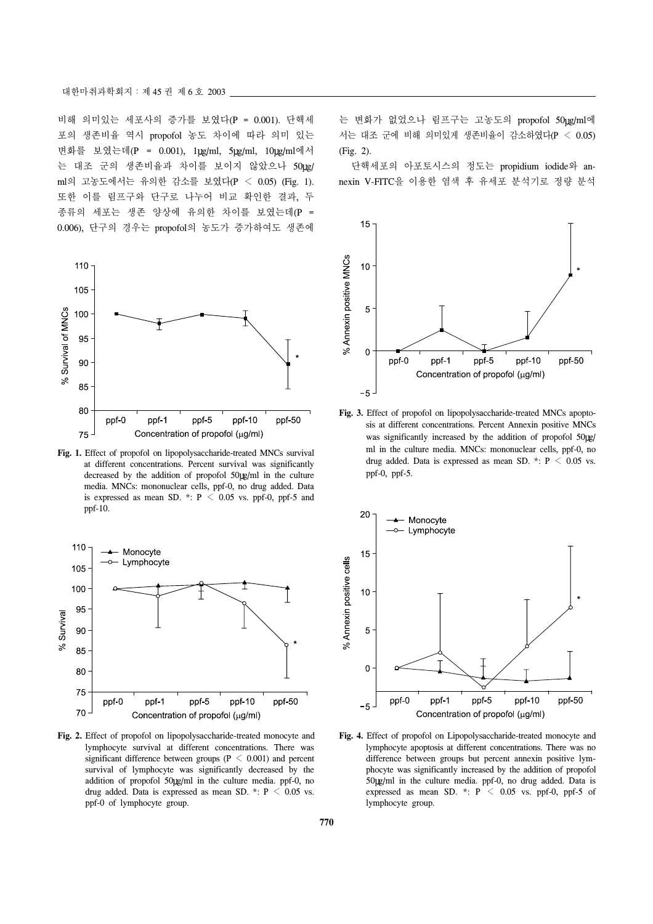비해 의미있는 세포사의 증가를 보였다(P = 0.001). 단핵세 포의 생존비율 역시 propofol 농도 차이에 따라 의미 있는 변화를 보였는데(P = 0.001), 1 g/ml, 5 g/ml, 10 g/ml에서 는 대조 군의 생존비율과 차이를 보이지 않았으나 50ug/ ml의 고농도에서는 유의한 감소를 보였다(P < 0.05) (Fig. 1). 또한 이를 림프구와 단구로 나누어 비교 확인한 결과, 두 종류의 세포는 생존 양상에 유의한 차이를 보였는데(P = 0.006), 단구의 경우는 propofol의 농도가 증가하여도 생존에



**Fig. 1.** Effect of propofol on lipopolysaccharide-treated MNCs survival at different concentrations. Percent survival was significantly decreased by the addition of propofol 50 g/ml in the culture media. MNCs: mononuclear cells, ppf-0, no drug added. Data is expressed as mean SD. \*:  $P < 0.05$  vs. ppf-0, ppf-5 and ppf-10.



**Fig. 2.** Effect of propofol on lipopolysaccharide-treated monocyte and lymphocyte survival at different concentrations. There was significant difference between groups ( $P \le 0.001$ ) and percent survival of lymphocyte was significantly decreased by the addition of propofol 50 g/ml in the culture media. ppf-0, no drug added. Data is expressed as mean SD. \*:  $P \le 0.05$  vs. ppf-0 of lymphocyte group.

는 변화가 없었으나 림프구는 고농도의 propofol 50 lg/ml에 서는 대조 군에 비해 의미있게 생존비율이 감소하였다(P < 0.05) (Fig. 2).

 단핵세포의 아포토시스의 정도는 propidium iodide와 annexin V-FITC을 이용한 염색 후 유세포 분석기로 정량 분석



**Fig. 3.** Effect of propofol on lipopolysaccharide-treated MNCs apoptosis at different concentrations. Percent Annexin positive MNCs was significantly increased by the addition of propofol 50 g/ ml in the culture media. MNCs: mononuclear cells, ppf-0, no drug added. Data is expressed as mean SD. \*:  $P \le 0.05$  vs. ppf-0, ppf-5.



**Fig. 4.** Effect of propofol on Lipopolysaccharide-treated monocyte and lymphocyte apoptosis at different concentrations. There was no difference between groups but percent annexin positive lymphocyte was significantly increased by the addition of propofol 50 g/ml in the culture media. ppf-0, no drug added. Data is expressed as mean SD.  $*$ : P  $\leq$  0.05 vs. ppf-0, ppf-5 of lymphocyte group.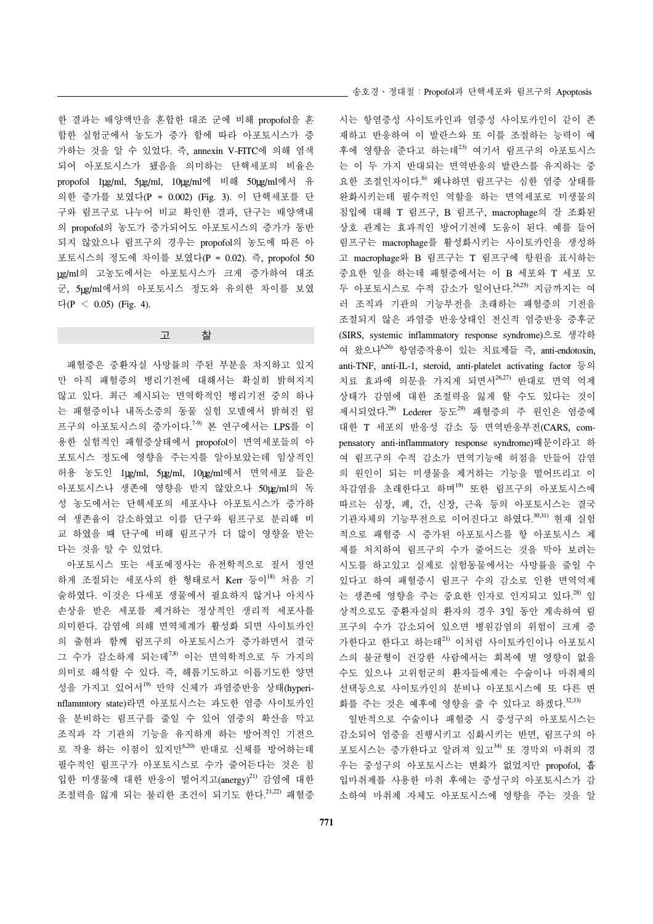한 결과는 배양액만을 혼합한 대조 군에 비해 propofol을 혼 합한 실험군에서 농도가 증가 함에 따라 아포토시스가 증 가하는 것을 알 수 있었다. 즉, annexin V-FITC에 의해 염색 되어 아포토시스가 됐음을 의미하는 단핵세포의 비율은 propofol 1ug/ml, 5ug/ml, 10ug/ml에 비해 50ug/ml에서 유 의한 증가를 보였다(P = 0.002) (Fig. 3). 이 단핵세포를 단 구와 림프구로 나누어 비교 확인한 결과, 단구는 배양액내 의 propofol의 농도가 증가되어도 아포토시스의 증가가 동반 되지 않았으나 림프구의 경우는 propofol의 농도에 따른 아 포토시스의 정도에 차이를 보였다(P = 0.02). 즉, propofol 50 g/ml의 고농도에서는 아포토시스가 크게 증가하여 대조 군, 5ug/ml에서의 아포토시스 정도와 유의한 차이를 보였 다( $P \leq 0.05$ ) (Fig. 4).

고 찰

 패혈증은 중환자실 사망률의 주된 부분을 차지하고 있지 만 아직 패혈증의 병리기전에 대해서는 확실히 밝혀지지 않고 있다. 최근 제시되는 면역학적인 병리기전 중의 하나 는 패혈증이나 내독소증의 동물 실험 모델에서 밝혀진 림 프구의 아포토시스의 증가이다.<sup>7-9)</sup> 본 연구에서는 LPS를 이 용한 실험적인 패혈증상태에서 propofol이 면역세포들의 아 포토시스 정도에 영향을 주는지를 알아보았는데 임상적인 허용 농도인 1µg/ml, 5µg/ml, 10µg/ml에서 면역세포 들은 아포토시스나 생존에 영향을 받지 않았으나 50 lg/ml의 독 성 농도에서는 단핵세포의 세포사나 아포토시스가 증가하 여 생존율이 감소하였고 이를 단구와 림프구로 분리해 비 교 하였을 때 단구에 비해 림프구가 더 많이 영향을 받는 다는 것을 알 수 있었다.

 아포토시스 또는 세포예정사는 유전학적으로 질서 정연 하게 조절되는 세포사의 한 형태로서 Kerr 등이<sup>18)</sup> 처음 기 술하였다. 이것은 다세포 생물에서 필요하지 않거나 아치사 손상을 받은 세포를 제거하는 정상적인 생리적 세포사를 의미한다. 감염에 의해 면역체계가 활성화 되면 사이토카인 의 출현과 함께 림프구의 아포토시스가 증가하면서 결국 그 수가 감소하게 되는데7,8) 이는 면역학적으로 두 가지의 의미로 해석할 수 있다. 즉, 해롭기도하고 이롭기도한 양면 성을 가지고 있어서<sup>19)</sup> 만약 신체가 과염증반응 상태(hyperinflammtory state)라면 아포토시스는 과도한 염증 사이토카인 을 분비하는 림프구를 줄일 수 있어 염증의 확산을 막고 조직과 각 기관의 기능을 유지하게 하는 방어적인 기전으 로 작용 하는 이점이 있지만6,20) 반대로 신체를 방어하는데 필수적인 림프구가 아포토시스로 수가 줄어든다는 것은 침 입한 미생물에 대한 반응이 떨어지고 (anergy)<sup>21)</sup> 감염에 대한 조절력을 잃게 되는 불리한 조건이 되기도 한다. 21,22) 패혈증 송호경․정대철:Propofol과 단핵세포와 림프구의 Apoptosis

시는 항염증성 사이토카인과 염증성 사이토카인이 같이 존 재하고 반응하여 이 발란스와 또 이를 조절하는 능력이 예 후에 영향을 준다고 하는데23) 여기서 림프구의 아포토시스 는 이 두 가지 반대되는 면역반응의 발란스를 유지하는 중 요한 조절인자이다.<sup>6</sup> 왜냐하면 림프구는 심한 염증 상태를 완화시키는데 필수적인 역할을 하는 면역세포로 미생물의 침입에 대해 T 림프구, B 림프구, macrophage의 잘 조화된 상호 관계는 효과적인 방어기전에 도움이 된다. 예를 들어 림프구는 macrophage를 활성화시키는 사이토카인을 생성하 고 macrophage와 B 림프구는 T 림프구에 항원을 표시하는 중요한 일을 하는데 패혈증에서는 이 B 세포와 T 세포 모 두 아포토시스로 수적 감소가 일어난다.<sup>24,25)</sup> 지금까지는 여 러 조직과 기관의 기능부전을 초래하는 패혈증의 기전을 조절되지 않은 과염증 반응상태인 전신적 염증반응 증후군 (SIRS, systemic inflammatory response syndrome)으로 생각하 여 왔으나6,26) 항염증작용이 있는 치료제들 즉, anti-endotoxin, anti-TNF, anti-IL-1, steroid, anti-platelet activating factor 등의 치료 효과에 의문을 가지게 되면서26,27) 반대로 면역 억제 상태가 감염에 대한 조절력을 잃게 할 수도 있다는 것이 제시되었다.<sup>28)</sup> Lederer 등도<sup>29)</sup> 패혈증의 주 원인은 염증에 대한 T 세포의 반응성 감소 등 면역반응부전(CARS, compensatory anti-inflammatory response syndrome)때문이라고 하 여 림프구의 수적 감소가 면역기능에 허점을 만들어 감염 의 원인이 되는 미생물을 제거하는 기능을 떨어뜨리고 이 차감염을 초래한다고 하며19) 또한 림프구의 아포토시스에 따르는 심장, 폐, 간, 신장, 근육 등의 아포토시스는 결국 기관자체의 기능부전으로 이어진다고 하였다.<sup>30,31)</sup> 현재 실험 적으로 패혈증 시 증가된 아포토시스를 항 아포토시스 제 제를 처치하여 림프구의 수가 줄어드는 것을 막아 보려는 시도를 하고있고 실제로 실험동물에서는 사망률을 줄일 수 있다고 하여 패혈증시 림프구 수의 감소로 인한 면역억제 는 생존에 영향을 주는 중요한 인자로 인지되고 있다.<sup>28)</sup> 임 상적으로도 중환자실의 환자의 경우 3일 동안 계속하여 림 프구의 수가 감소되어 있으면 병원감염의 위험이 크게 증 가한다고 한다고 하는데21) 이처럼 사이토카인이나 아포토시 스의 불균형이 건강한 사람에서는 회복에 별 영향이 없을 수도 있으나 고위험군의 환자들에게는 수술이나 마취제의 선택등으로 사이토카인의 분비나 아포토시스에 또 다른 변 화를 주는 것은 예후에 영향을 줄 수 있다고 하겠다.<sup>32,33)</sup>

 일반적으로 수술이나 패혈증 시 중성구의 아포토시스는 감소되어 염증을 진행시키고 심화시키는 반면, 림프구의 아 포토시스는 증가한다고 알려져 있고34) 또 경막외 마취의 경 우는 중성구의 아포토시스는 변화가 없었지만 propofol, 흡 입마취제를 사용한 마취 후에는 중성구의 아포토시스가 감 소하여 마취제 자체도 아포토시스에 영향을 주는 것을 알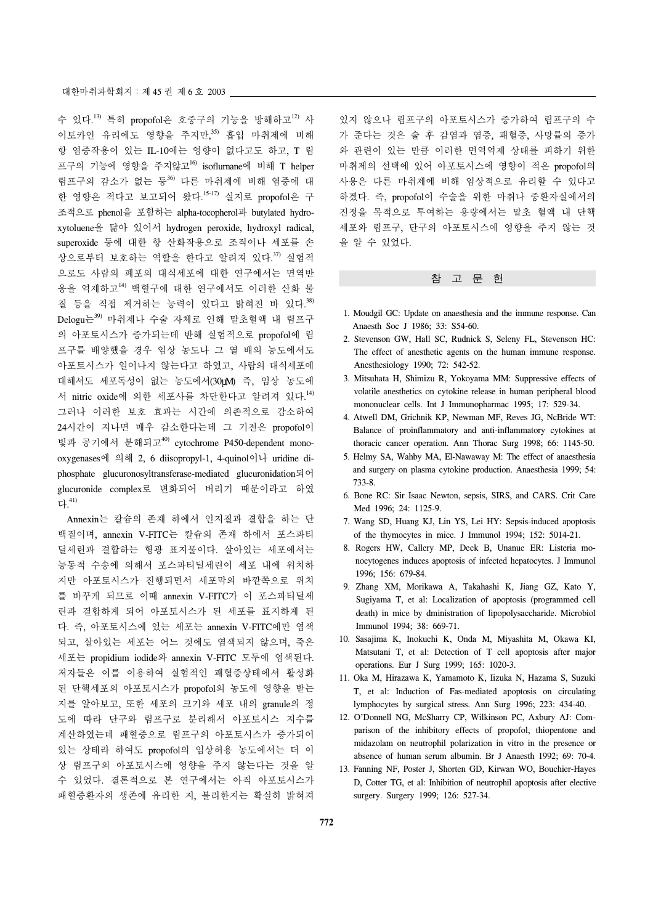수 있다.<sup>13)</sup> 특히 propofol은 호중구의 기능을 방해하고<sup>12)</sup> 사 이토카인 유리에도 영향을 주지만, 35) 흡입 마취제에 비해 항 염증작용이 있는 IL-10에는 영향이 없다고도 하고, T 림 프구의 기능에 영향을 주지않고<sup>16)</sup> isoflurnane에 비해 T helper 림프구의 감소가 없는 등<sup>36)</sup> 다른 마취제에 비해 염증에 대 한 영향은 적다고 보고되어 왔다.<sup>15-17)</sup> 실지로 propofol은 구 조적으로 phenol을 포함하는 alpha-tocopherol과 butylated hydroxytoluene을 닮아 있어서 hydrogen peroxide, hydroxyl radical, superoxide 등에 대한 항 산화작용으로 조직이나 세포를 손 상으로부터 보호하는 역할을 한다고 알려져 있다.<sup>37)</sup> 실험적 으로도 사람의 폐포의 대식세포에 대한 연구에서는 면역반 응을 억제하고14) 백혈구에 대한 연구에서도 이러한 산화 물 질 등을 직접 제거하는 능력이 있다고 밝혀진 바 있다. 38) Delogu는39) 마취제나 수술 자체로 인해 말초혈액 내 림프구 의 아포토시스가 증가되는데 반해 실험적으로 propofol에 림 프구를 배양했을 경우 임상 농도나 그 열 배의 농도에서도 아포토시스가 일어나지 않는다고 하였고, 사람의 대식세포에 대해서도 세포독성이 없는 농도에서(30LM) 즉, 임상 농도에 서 nitric oxide에 의한 세포사를 차단한다고 알려져 있다.<sup>14)</sup> 그러나 이러한 보호 효과는 시간에 의존적으로 감소하여 24시간이 지나면 매우 감소한다는데 그 기전은 propofol이 빛과 공기에서 분해되고40) cytochrome P450-dependent monooxygenases에 의해 2, 6 diisopropyl-1, 4-quinol이나 uridine diphosphate glucuronosyltransferase-mediated glucuronidation되어 glucuronide complex로 변화되어 버리기 때문이라고 하였 다. 41)

 Annexin는 칼슘의 존재 하에서 인지질과 결합을 하는 단 백질이며, annexin V-FITC는 칼슘의 존재 하에서 포스파티 딜세린과 결합하는 형광 표지물이다. 살아있는 세포에서는 능동적 수송에 의해서 포스파티딜세린이 세포 내에 위치하 지만 아포토시스가 진행되면서 세포막의 바깥쪽으로 위치 를 바꾸게 되므로 이때 annexin V-FITC가 이 포스파티딜세 린과 결합하게 되어 아포토시스가 된 세포를 표지하게 된 다. 즉, 아포토시스에 있는 세포는 annexin V-FITC에만 염색 되고, 살아있는 세포는 어느 것에도 염색되지 않으며, 죽은 세포는 propidium iodide와 annexin V-FITC 모두에 염색된다. 저자들은 이를 이용하여 실험적인 패혈증상태에서 활성화 된 단핵세포의 아포토시스가 propofol의 농도에 영향을 받는 지를 알아보고, 또한 세포의 크기와 세포 내의 granule의 정 도에 따라 단구와 림프구로 분리해서 아포토시스 지수를 계산하였는데 패혈증으로 림프구의 아포토시스가 증가되어 있는 상태라 하여도 propofol의 임상허용 농도에서는 더 이 상 림프구의 아포토시스에 영향을 주지 않는다는 것을 알 수 있었다. 결론적으로 본 연구에서는 아직 아포토시스가 패혈증환자의 생존에 유리한 지, 불리한지는 확실히 밝혀져

있지 않으나 림프구의 아포토시스가 증가하여 림프구의 수 가 준다는 것은 술 후 감염과 염증, 패혈증, 사망률의 증가 와 관련이 있는 만큼 이러한 면역억제 상태를 피하기 위한 마취제의 선택에 있어 아포토시스에 영향이 적은 propofol의 사용은 다른 마취제에 비해 임상적으로 유리할 수 있다고 하겠다. 즉, propofol이 수술을 위한 마취나 중환자실에서의 진정을 목적으로 투여하는 용량에서는 말초 혈액 내 단핵 세포와 림프구, 단구의 아포토시스에 영향을 주지 않는 것 을 알 수 있었다.

#### 참 고 문 헌

- 1. Moudgil GC: Update on anaesthesia and the immune response. Can Anaesth Soc J 1986; 33: S54-60.
- 2. Stevenson GW, Hall SC, Rudnick S, Seleny FL, Stevenson HC: The effect of anesthetic agents on the human immune response. Anesthesiology 1990; 72: 542-52.
- 3. Mitsuhata H, Shimizu R, Yokoyama MM: Suppressive effects of volatile anesthetics on cytokine release in human peripheral blood mononuclear cells. Int J Immunopharmac 1995; 17: 529-34.
- 4. Atwell DM, Grichnik KP, Newman MF, Reves JG, NcBride WT: Balance of proinflammatory and anti-inflammatory cytokines at thoracic cancer operation. Ann Thorac Surg 1998; 66: 1145-50.
- 5. Helmy SA, Wahby MA, El-Nawaway M: The effect of anaesthesia and surgery on plasma cytokine production. Anaesthesia 1999; 54: 733-8.
- 6. Bone RC: Sir Isaac Newton, sepsis, SIRS, and CARS. Crit Care Med 1996; 24: 1125-9.
- 7. Wang SD, Huang KJ, Lin YS, Lei HY: Sepsis-induced apoptosis of the thymocytes in mice. J Immunol 1994; 152: 5014-21.
- 8. Rogers HW, Callery MP, Deck B, Unanue ER: Listeria monocytogenes induces apoptosis of infected hepatocytes. J Immunol 1996; 156: 679-84.
- 9. Zhang XM, Morikawa A, Takahashi K, Jiang GZ, Kato Y, Sugiyama T, et al: Localization of apoptosis (programmed cell death) in mice by dministration of lipopolysaccharide. Microbiol Immunol 1994; 38: 669-71.
- 10. Sasajima K, Inokuchi K, Onda M, Miyashita M, Okawa KI, Matsutani T, et al: Detection of T cell apoptosis after major operations. Eur J Surg 1999; 165: 1020-3.
- 11. Oka M, Hirazawa K, Yamamoto K, Iizuka N, Hazama S, Suzuki T, et al: Induction of Fas-mediated apoptosis on circulating lymphocytes by surgical stress. Ann Surg 1996; 223: 434-40.
- 12. O'Donnell NG, McSharry CP, Wilkinson PC, Axbury AJ: Comparison of the inhibitory effects of propofol, thiopentone and midazolam on neutrophil polarization in vitro in the presence or absence of human serum albumin. Br J Anaesth 1992; 69: 70-4.
- 13. Fanning NF, Poster J, Shorten GD, Kirwan WO, Bouchier-Hayes D, Cotter TG, et al: Inhibition of neutrophil apoptosis after elective surgery. Surgery 1999; 126: 527-34.